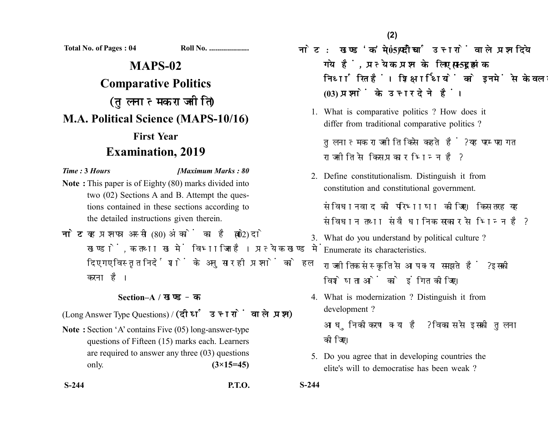**Total No. of Pages : 04 Roll No. ....................**

## **MAPS-02 Comparative Politics** (तुलनात्मक राजनीति) **M.A. Political Science (MAPS-10/16) First Year Examination, 2019**

*Time :* **3** *Hours [Maximum Marks : 80*

- **Note :** This paper is of Eighty (80) marks divided into two (02) Sections A and B. Attempt the questions contained in these sections according to the detailed instructions given therein.
- नोट: यह प्रश्नपत्र अस्सी (80) अंकों का है जो दो (02) खण्डों. क तथा ख में विभाजित है। प्रत्येक खण्ड में दिए गए विस्तृत निर्देशों के अनुसार ही प्रश्नों को हल करना है।

## **Section–A /**

(Long Answer Type Questions) / (दीर्घ उत्तरों वाले प्रश्न)

- **Note :** Section 'A' contains Five (05) long-answer-type questions of Fifteen (15) marks each. Learners are required to answer any three (03) questions only. **(3×15=45)**
- **S-244 P.T.O. S-244**

नोट: खण्ड 'क' में पाँच (05) दीर्घ उत्तरों वाले प्रश्न दिये गये हैं, प्रत्येक प्रश्न के लिए पन्दह (15) अंक निर्धारित हैं। शिक्षार्थियों को इनमें से केवल तीन

1. What is comparative politics ? How does it differ from traditional comparative politics ?

तलनात्मक राजनीति किसे कहते हैं? यह परम्परागत राजनीति से किस प्रकार भिन्न है?

2. Define constitutionalism. Distinguish it from constitution and constitutional government. संविधानवाद की परिभाषा कोजिए। किस तरह यह

संविधान तथा संवैधानिक सरकार से भिन्न है?

- 3. What do you understand by political culture ? Enumerate its characteristics. राजनीतिक संस्कृति से आप क्या समझते हैं ? इसकी विशेषताओं को इंगित कीजिए।
- 4. What is modernization ? Distinguish it from development ? आधुनिकीकरण क्या है ? विकास से इसकी तुलना कोजिए।
- 5. Do you agree that in developing countries the elite's will to democratise has been weak ?

**(03)**